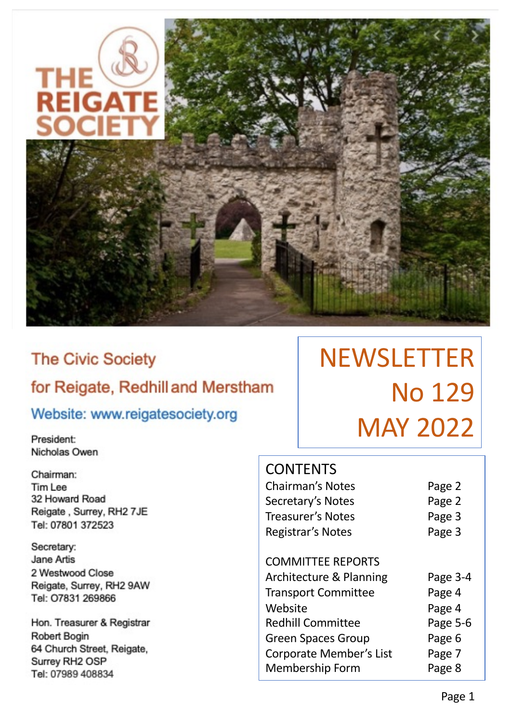

# **The Civic Society** for Reigate, Redhill and Merstham

# Website: www.reigatesociety.org

President: Nicholas Owen

Chairman: Tim Lee 32 Howard Road Reigate, Surrey, RH2 7JE Tel: 07801 372523

Secretary: Jane Artis 2 Westwood Close Reigate, Surrey, RH2 9AW Tel: 07831 269866

Hon. Treasurer & Registrar Robert Bogin 64 Church Street, Reigate, Surrey RH2 OSP Tel: 07989 408834

# **NEWSLETTER** No 129 MAY 2022

# **CONTENTS**

| <b>Chairman's Notes</b>            | Page 2   |
|------------------------------------|----------|
| Secretary's Notes                  | Page 2   |
| <b>Treasurer's Notes</b>           | Page 3   |
| Registrar's Notes                  | Page 3   |
| <b>COMMITTEE REPORTS</b>           |          |
| <b>Architecture &amp; Planning</b> | Page 3-4 |
| <b>Transport Committee</b>         | Page 4   |
| Website                            | Page 4   |
| <b>Redhill Committee</b>           | Page 5-6 |
| <b>Green Spaces Group</b>          | Page 6   |
| Corporate Member's List            | Page 7   |
| <b>Membership Form</b>             | Page 8   |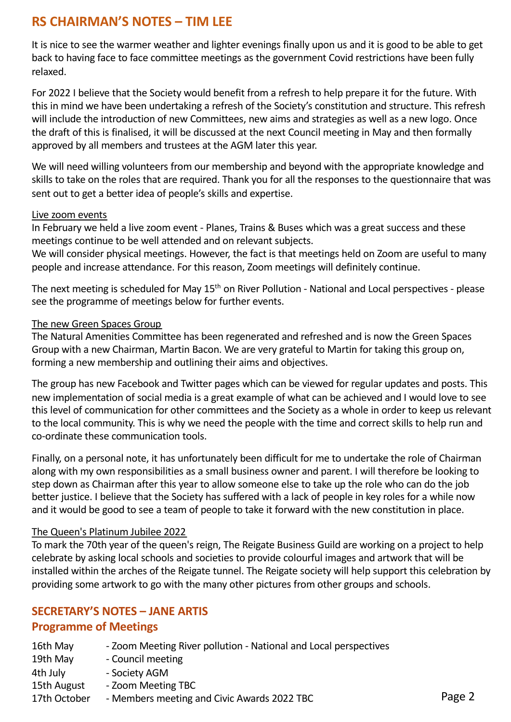# **RS CHAIRMAN'S NOTES – TIM LEE**

It is nice to see the warmer weather and lighter evenings finally upon us and it is good to be able to get back to having face to face committee meetings as the government Covid restrictions have been fully relaxed.

For 2022 I believe that the Society would benefit from a refresh to help prepare it for the future. With this in mind we have been undertaking a refresh of the Society's constitution and structure. This refresh will include the introduction of new Committees, new aims and strategies as well as a new logo. Once the draft of this is finalised, it will be discussed at the next Council meeting in May and then formally approved by all members and trustees at the AGM later this year.

We will need willing volunteers from our membership and beyond with the appropriate knowledge and skills to take on the roles that are required. Thank you for all the responses to the questionnaire that was sent out to get a better idea of people's skills and expertise.

### Live zoom events

In February we held a live zoom event - Planes, Trains & Buses which was a great success and these meetings continue to be well attended and on relevant subjects.

We will consider physical meetings. However, the fact is that meetings held on Zoom are useful to many people and increase attendance. For this reason, Zoom meetings will definitely continue.

The next meeting is scheduled for May 15<sup>th</sup> on River Pollution - National and Local perspectives - please see the programme of meetings below for further events.

### The new Green Spaces Group

The Natural Amenities Committee has been regenerated and refreshed and is now the Green Spaces Group with a new Chairman, Martin Bacon. We are very grateful to Martin for taking this group on, forming a new membership and outlining their aims and objectives.

The group has new Facebook and Twitter pages which can be viewed for regular updates and posts. This new implementation of social media is a great example of what can be achieved and I would love to see this level of communication for other committees and the Society as a whole in order to keep us relevant to the local community. This is why we need the people with the time and correct skills to help run and co-ordinate these communication tools.

Finally, on a personal note, it has unfortunately been difficult for me to undertake the role of Chairman along with my own responsibilities as a small business owner and parent. I will therefore be looking to step down as Chairman after this year to allow someone else to take up the role who can do the job better justice. I believe that the Society has suffered with a lack of people in key roles for a while now and it would be good to see a team of people to take it forward with the new constitution in place.

### The Queen's Platinum Jubilee 2022

To mark the 70th year of the queen's reign, The Reigate Business Guild are working on a project to help celebrate by asking local schools and societies to provide colourful images and artwork that will be installed within the arches of the Reigate tunnel. The Reigate society will help support this celebration by providing some artwork to go with the many other pictures from other groups and schools.

### **SECRETARY'S NOTES – JANE ARTIS**

### **Programme of Meetings**

| 16th May | - Zoom Meeting River pollution - National and Local perspectives |
|----------|------------------------------------------------------------------|
| 19th May | - Council meeting                                                |
| 4th July | - Society AGM                                                    |

- 15th August Zoom Meeting TBC
- 17th October Members meeting and Civic Awards 2022 TBC **Page 2**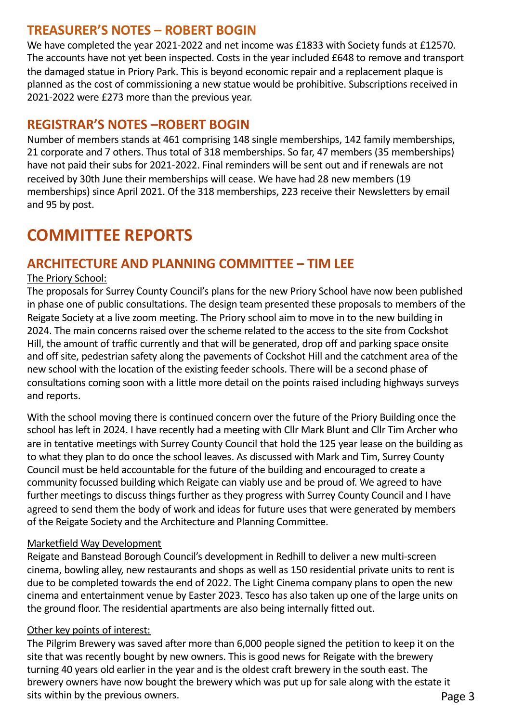## **TREASURER'S NOTES – ROBERT BOGIN**

We have completed the year 2021-2022 and net income was £1833 with Society funds at £12570. The accounts have not yet been inspected. Costs in the year included £648 to remove and transport the damaged statue in Priory Park. This is beyond economic repair and a replacement plaque is planned as the cost of commissioning a new statue would be prohibitive. Subscriptions received in 2021-2022 were £273 more than the previous year.

# **REGISTRAR'S NOTES –ROBERT BOGIN**

Number of members stands at 461 comprising 148 single memberships, 142 family memberships, 21 corporate and 7 others. Thus total of 318 memberships. So far, 47 members (35 memberships) have not paid their subs for 2021-2022. Final reminders will be sent out and if renewals are not received by 30th June their memberships will cease. We have had 28 new members (19 memberships) since April 2021. Of the 318 memberships, 223 receive their Newsletters by email and 95 by post.

# **COMMITTEE REPORTS**

# **ARCHITECTURE AND PLANNING COMMITTEE – TIM LEE**

### The Priory School:

The proposals for Surrey County Council's plans for the new Priory School have now been published in phase one of public consultations. The design team presented these proposals to members of the Reigate Society at a live zoom meeting. The Priory school aim to move in to the new building in 2024. The main concerns raised over the scheme related to the access to the site from Cockshot Hill, the amount of traffic currently and that will be generated, drop off and parking space onsite and off site, pedestrian safety along the pavements of Cockshot Hill and the catchment area of the new school with the location of the existing feeder schools. There will be a second phase of consultations coming soon with a little more detail on the points raised including highways surveys and reports.

With the school moving there is continued concern over the future of the Priory Building once the school has left in 2024. I have recently had a meeting with Cllr Mark Blunt and Cllr Tim Archer who are in tentative meetings with Surrey County Council that hold the 125 year lease on the building as to what they plan to do once the school leaves. As discussed with Mark and Tim, Surrey County Council must be held accountable for the future of the building and encouraged to create a community focussed building which Reigate can viably use and be proud of. We agreed to have further meetings to discuss things further as they progress with Surrey County Council and I have agreed to send them the body of work and ideas for future uses that were generated by members of the Reigate Society and the Architecture and Planning Committee.

### Marketfield Way Development

Reigate and Banstead Borough Council's development in Redhill to deliver a new multi-screen cinema, bowling alley, new restaurants and shops as well as 150 residential private units to rent is due to be completed towards the end of 2022. The Light Cinema company plans to open the new cinema and entertainment venue by Easter 2023. Tesco has also taken up one of the large units on the ground floor. The residential apartments are also being internally fitted out.

### Other key points of interest:

The Pilgrim Brewery was saved after more than 6,000 people signed the petition to keep it on the site that was recently bought by new owners. This is good news for Reigate with the brewery turning 40 years old earlier in the year and is the oldest craft brewery in the south east. The brewery owners have now bought the brewery which was put up for sale along with the estate it sits within by the previous owners. The same state of the state of the Page 3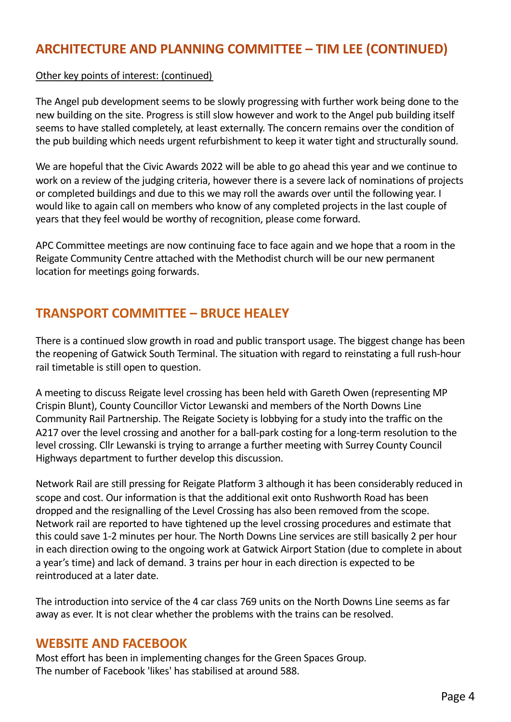# **ARCHITECTURE AND PLANNING COMMITTEE – TIM LEE (CONTINUED)**

### Other key points of interest: (continued)

The Angel pub development seems to be slowly progressing with further work being done to the new building on the site. Progress is still slow however and work to the Angel pub building itself seems to have stalled completely, at least externally. The concern remains over the condition of the pub building which needs urgent refurbishment to keep it water tight and structurally sound.

We are hopeful that the Civic Awards 2022 will be able to go ahead this year and we continue to work on a review of the judging criteria, however there is a severe lack of nominations of projects or completed buildings and due to this we may roll the awards over until the following year. I would like to again call on members who know of any completed projects in the last couple of years that they feel would be worthy of recognition, please come forward.

APC Committee meetings are now continuing face to face again and we hope that a room in the Reigate Community Centre attached with the Methodist church will be our new permanent location for meetings going forwards.

# **TRANSPORT COMMITTEE – BRUCE HEALEY**

There is a continued slow growth in road and public transport usage. The biggest change has been the reopening of Gatwick South Terminal. The situation with regard to reinstating a full rush-hour rail timetable is still open to question.

A meeting to discuss Reigate level crossing has been held with Gareth Owen (representing MP Crispin Blunt), County Councillor Victor Lewanski and members of the North Downs Line Community Rail Partnership. The Reigate Society is lobbying for a study into the traffic on the A217 over the level crossing and another for a ball-park costing for a long-term resolution to the level crossing. Cllr Lewanski is trying to arrange a further meeting with Surrey County Council Highways department to further develop this discussion.

Network Rail are still pressing for Reigate Platform 3 although it has been considerably reduced in scope and cost. Our information is that the additional exit onto Rushworth Road has been dropped and the resignalling of the Level Crossing has also been removed from the scope. Network rail are reported to have tightened up the level crossing procedures and estimate that this could save 1-2 minutes per hour. The North Downs Line services are still basically 2 per hour in each direction owing to the ongoing work at Gatwick Airport Station (due to complete in about a year's time) and lack of demand. 3 trains per hour in each direction is expected to be reintroduced at a later date.

The introduction into service of the 4 car class 769 units on the North Downs Line seems as far away as ever. It is not clear whether the problems with the trains can be resolved.

### **WEBSITE AND FACEBOOK**

Most effort has been in implementing changes for the Green Spaces Group. The number of Facebook 'likes' has stabilised at around 588.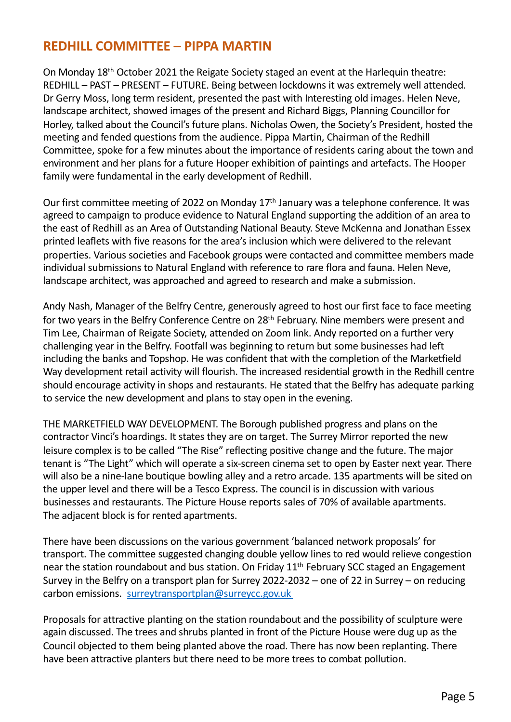# **REDHILL COMMITTEE – PIPPA MARTIN**

On Monday 18th October 2021 the Reigate Society staged an event at the Harlequin theatre: REDHILL – PAST – PRESENT – FUTURE. Being between lockdowns it was extremely well attended. Dr Gerry Moss, long term resident, presented the past with Interesting old images. Helen Neve, landscape architect, showed images of the present and Richard Biggs, Planning Councillor for Horley, talked about the Council's future plans. Nicholas Owen, the Society's President, hosted the meeting and fended questions from the audience. Pippa Martin, Chairman of the Redhill Committee, spoke for a few minutes about the importance of residents caring about the town and environment and her plans for a future Hooper exhibition of paintings and artefacts. The Hooper family were fundamental in the early development of Redhill.

Our first committee meeting of 2022 on Monday 17th January was a telephone conference. It was agreed to campaign to produce evidence to Natural England supporting the addition of an area to the east of Redhill as an Area of Outstanding National Beauty. Steve McKenna and Jonathan Essex printed leaflets with five reasons for the area's inclusion which were delivered to the relevant properties. Various societies and Facebook groups were contacted and committee members made individual submissions to Natural England with reference to rare flora and fauna. Helen Neve, landscape architect, was approached and agreed to research and make a submission.

Andy Nash, Manager of the Belfry Centre, generously agreed to host our first face to face meeting for two years in the Belfry Conference Centre on 28<sup>th</sup> February. Nine members were present and Tim Lee, Chairman of Reigate Society, attended on Zoom link. Andy reported on a further very challenging year in the Belfry. Footfall was beginning to return but some businesses had left including the banks and Topshop. He was confident that with the completion of the Marketfield Way development retail activity will flourish. The increased residential growth in the Redhill centre should encourage activity in shops and restaurants. He stated that the Belfry has adequate parking to service the new development and plans to stay open in the evening.

THE MARKETFIELD WAY DEVELOPMENT. The Borough published progress and plans on the contractor Vinci's hoardings. It states they are on target. The Surrey Mirror reported the new leisure complex is to be called "The Rise" reflecting positive change and the future. The major tenant is "The Light" which will operate a six-screen cinema set to open by Easter next year. There will also be a nine-lane boutique bowling alley and a retro arcade. 135 apartments will be sited on the upper level and there will be a Tesco Express. The council is in discussion with various businesses and restaurants. The Picture House reports sales of 70% of available apartments. The adjacent block is for rented apartments.

There have been discussions on the various government 'balanced network proposals' for transport. The committee suggested changing double yellow lines to red would relieve congestion near the station roundabout and bus station. On Friday 11<sup>th</sup> February SCC staged an Engagement Survey in the Belfry on a transport plan for Surrey 2022-2032 – one of 22 in Surrey – on reducing carbon emissio[ns. surreytransportplan@surreycc.gov.u](mailto:surreytransportplan@surreycc.gov.uk)k

Proposals for attractive planting on the station roundabout and the possibility of sculpture were again discussed. The trees and shrubs planted in front of the Picture House were dug up as the Council objected to them being planted above the road. There has now been replanting. There have been attractive planters but there need to be more trees to combat pollution.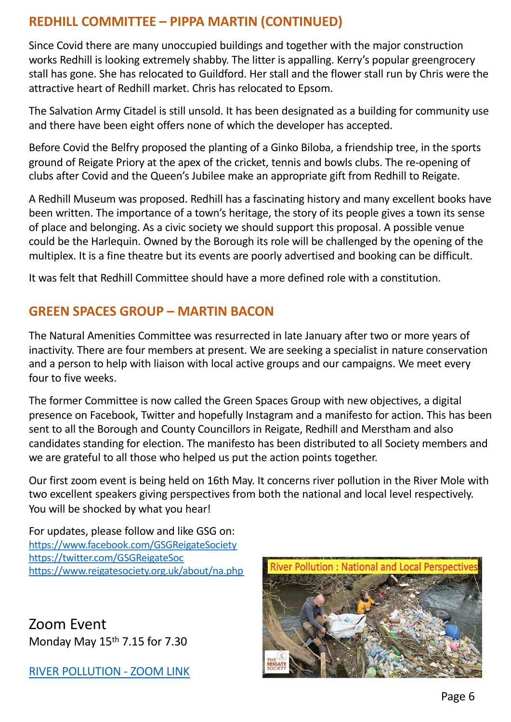# **REDHILL COMMITTEE – PIPPA MARTIN (CONTINUED)**

Since Covid there are many unoccupied buildings and together with the major construction works Redhill is looking extremely shabby. The litter is appalling. Kerry's popular greengrocery stall has gone. She has relocated to Guildford. Her stall and the flower stall run by Chris were the attractive heart of Redhill market. Chris has relocated to Epsom.

The Salvation Army Citadel is still unsold. It has been designated as a building for community use and there have been eight offers none of which the developer has accepted.

Before Covid the Belfry proposed the planting of a Ginko Biloba, a friendship tree, in the sports ground of Reigate Priory at the apex of the cricket, tennis and bowls clubs. The re-opening of clubs after Covid and the Queen's Jubilee make an appropriate gift from Redhill to Reigate.

A Redhill Museum was proposed. Redhill has a fascinating history and many excellent books have been written. The importance of a town's heritage, the story of its people gives a town its sense of place and belonging. As a civic society we should support this proposal. A possible venue could be the Harlequin. Owned by the Borough its role will be challenged by the opening of the multiplex. It is a fine theatre but its events are poorly advertised and booking can be difficult.

It was felt that Redhill Committee should have a more defined role with a constitution.

# **GREEN SPACES GROUP – MARTIN BACON**

The Natural Amenities Committee was resurrected in late January after two or more years of inactivity. There are four members at present. We are seeking a specialist in nature conservation and a person to help with liaison with local active groups and our campaigns. We meet every four to five weeks.

The former Committee is now called the Green Spaces Group with new objectives, a digital presence on Facebook, Twitter and hopefully Instagram and a manifesto for action. This has been sent to all the Borough and County Councillors in Reigate, Redhill and Merstham and also candidates standing for election. The manifesto has been distributed to all Society members and we are grateful to all those who helped us put the action points together.

Our first zoom event is being held on 16th May. It concerns river pollution in the River Mole with two excellent speakers giving perspectives from both the national and local level respectively. You will be shocked by what you hear!

For updates, please follow and like GSG on: [https://www.facebook.com/GSGReigateSocie](https://www.facebook.com/GSGReigateSociety)ty [https://twitter.com/GSGReigateS](https://twitter.com/GSGReigateSoc)oc [https://www.reigatesociety.org.uk/about/na.ph](https://www.reigatesociety.org.uk/about/na.php)p

Zoom Event Monday May 15<sup>th</sup> 7.15 for 7.30

[RIVER POLLUTION -](https://us02web.zoom.us/j/87304422263?pwd=ZWhCdDNNOVBOSXBJOEdHU0FrMVBBQT09) ZOOM LINK

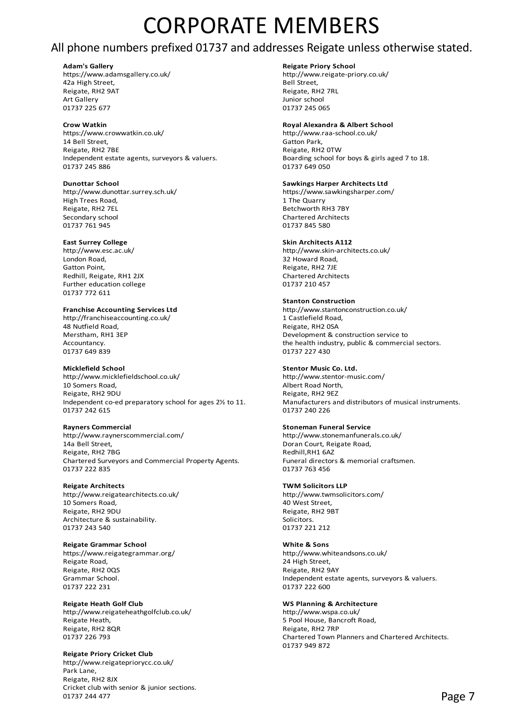# CORPORATE MEMBERS

## All phone numbers prefixed 01737 and addresses Reigate unless otherwise stated.

**Adam's Gallery and School School School School School School School School School School School School School School School School School School School School School School School School School School School School School** https://www.adamsgallery.co.uk/ http://www.adamsgallery.co.uk/ http://www.<br>42a High Street 42a High Street. Reigate, RH2 9AT Reigate, RH2 7RL Art Gallery Junior school<br>1737 225 677 01737 245 06

https://www.crowwatkin.co.uk/ http://www.raa-school.co.uk/ 14 Bell Street, Gatton Park, Reigate, RH2 7BE Reigate, RH2 0TW Independent estate agents, surveyors & valuers.<br>
01737 245 886<br>
01737 649 050 01737 245 886

**Dunottar School Sawkings Harper Architects Ltd**<br>http://www.dunottar.surrey.sch.uk/ **Same Architects Harper Architects Ltd** https://www.sawkingsharper.com/ http://www.dunottar.surrey.sch.uk/ https://www.<br>https://www.dunottar.surrey.sch.uk/ https://www.sawkingsharper.com/ High Trees Road. Reigate, RH2 7EL Betchworth RH3 7BY Secondary school extends the chartered Architects of Chartered Architects 01737 761 945 01737 845 580

London Road, East of the Control of the Control of the Control of the Control of the Control of the Control of<br>
22 Howard Road, Gatton Point, Control of the Control of the Control of the Control of the Control of the Contr Redhill, Reigate, RH1 2JX Chartered Architects Further education college **120 aproximation** college 120 approximation of the 01737 210 457 01737 772 611

http://franchiseaccounting.co.uk/ 48 Nutfield Road, and the set of the control of the Reigate, RH2 0SA Nerstham. Reigate, RH2 0SA Nerstham, Reigate, RH2 0SA

http://www.micklefieldschool.co.uk/ http://www.stentor-music.com/ 10 Somers Road, Albert Road North, Reigate, RH2 9EZ<br>Independent co-ed preparatory school for ages 2½ to 11. Manufacturers and distributors of musical instruments. Independent co-ed preparatory school for ages  $2\frac{1}{2}$  to 11. 01737 242 615 01737 240 226

http://www.raynerscommercial.com/ http://www.stonemanfunerals.co.uk/<br>14a Bell Street. http://www.stonemanfunerals.co.uk/ Reigate, RH2 7BG<br>Chartered Surveyors and Commercial Property Agents. The redhill, RH1 6AZ<br>Funeral directors & memorial craftsmen. Chartered Surveyors and Commercial Property Agents. 01737 222 835 01737 763 456

10 Somers Road, 40 West Street, Reigate, RH2 9DU Reigate, RH2 9BT Architecture & sustainability. The state of the Solicitors. 01737 243 540 01737 221 212

### **Reigate Grammar School White & Sons**

https://www.reigategrammar.org/ http://www.whiteandsons.co.uk/ Reigate Road, 24 High Street, 24 High Street, 24 High Street, 24 High Street, 29 High Street, 2005 Reigate, RH2 0QS<br>Grammar School. 01737 222 231

# **Reigate Heath Golf Club WS Planning & Architecture** http://www.reigateheathgolfclub.co.uk/ http://www.wspa.co.uk/

Reigate, RH2 8OR

### **Reigate Priory Cricket Club**

http://www.reigatepriorycc.co.uk/ Park Lane, Reigate, RH2 8JX Cricket club with senior & junior sections. 01737 244 477 **Page 7** 

01737 245 065

### **Crow Watkin Royal Alexandra & Albert School**

### **East Surrey College Skin Architects A112**

http://www.esc.ac.uk/ http://www.skin-architects.co.uk/ Reigate, RH2 7JE

### **Stanton Construction**

**Franchise Accounting Services Ltd** http://www.stantonconstruction.co.uk/<br>http://franchiseaccounting.co.uk/ **http://franchiseaccounting.co.uk/** 1 Castlefield Road. Development & construction service to Accountancy. the health industry, public & commercial sectors. 01737 227 430

### **Micklefield School Stentor Music Co. Ltd.**

### **Rayners Commercial Stoneman Funeral Service**

Doran Court, Reigate Road,<br>Redhill.RH1 6AZ

### **Reigate Architects TWM Solicitors LLP**

http://www.reigatearchitects.co.uk/ http://www.twmsolicitors.com/

Independent estate agents, surveyors & valuers.<br>01737 222 600

Reigate Heath, 5 Pool House, Bancroft Road, 1996) Exercise Services and Services Services Services (Services S<br>
Reigate, RH2 8QR 01737 226 793 Chartered Town Planners and Chartered Architects. 01737 949 872